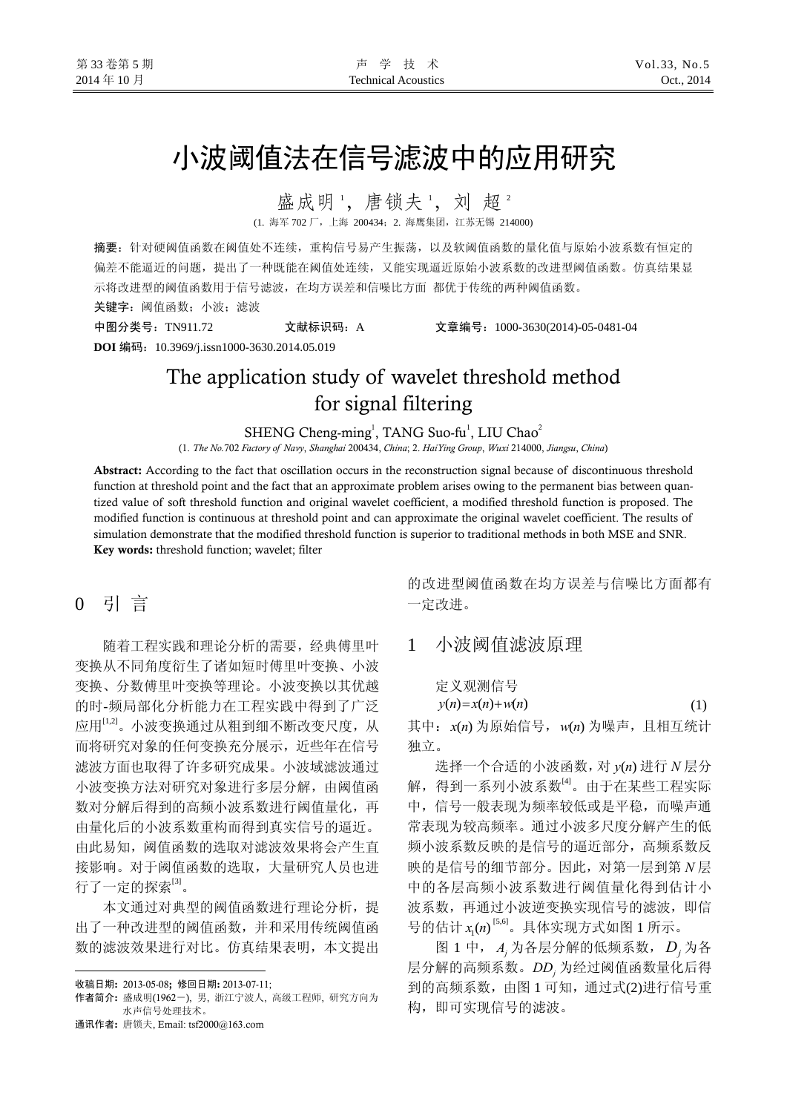# 小波阈值法在信号滤波中的应用研究

盛成明1, 唐锁夫1, 刘超2

(1. 海军 702 厂,上海 200434;2. 海鹰集团,江苏无锡 214000)

摘要:针对硬阈值函数在阈值处不连续,重构信号易产生振荡,以及软阈值函数的量化值与原始小波系数有恒定的 偏差不能逼近的问题,提出了一种既能在阈值处连续,又能实现逼近原始小波系数的改进型阈值函数。仿真结果显 示将改进型的阈值函数用于信号滤波,在均方误差和信噪比方面 都优于传统的两种阈值函数。

关键字: 阈值函数; 小波; 滤波

中图分类号:TN911.72 文献标识码:A 文章编号:1000-3630(2014)-05-0481-04 **DOI** 编码:10.3969/j.issn1000-3630.2014.05.019

# The application study of wavelet threshold method for signal filtering

SHENG Cheng-ming<sup>1</sup>, TANG Suo-fu<sup>1</sup>, LIU Chao<sup>2</sup>

(1. *The No.*702 *Factory of Navy*, *Shanghai* 200434, *China*; 2. *HaiYing Group*, *Wuxi* 214000, *Jiangsu*, *China*)

Abstract: According to the fact that oscillation occurs in the reconstruction signal because of discontinuous threshold function at threshold point and the fact that an approximate problem arises owing to the permanent bias between quantized value of soft threshold function and original [wavelet coefficient,](http://dict.cnki.net/dict_result.aspx?searchword=%e5%b0%8f%e6%b3%a2%e7%b3%bb%e6%95%b0&tjType=sentence&style=&t=wavelet+coefficient) a modified threshold function is proposed. The modified function is continuous at threshold point and can approximate the original [wavelet coefficient](http://dict.cnki.net/dict_result.aspx?searchword=%e5%b0%8f%e6%b3%a2%e7%b3%bb%e6%95%b0&tjType=sentence&style=&t=wavelet+coefficient). The results of simulation demonstrate that the modified threshold function is superior to traditional methods in both MSE and SNR. Key words: threshold function; wavelet; filter

# 0 引 言

随着工程实践和理论分析的需要,经典傅里叶 变换从不同角度衍生了诸如短时傅里叶变换、小波 变换、分数傅里叶变换等理论。小波变换以其优越 的时-频局部化分析能力在工程实践中得到了广泛 应用[1,2]。小波变换通过从粗到细不断改变尺度,从 而将研究对象的任何变换充分展示,近些年在信号 滤波方面也取得了许多研究成果。小波域滤波通过 小波变换方法对研究对象进行多层分解,由阈值函 数对分解后得到的高频小波系数进行阈值量化,再 由量化后的小波系数重构而得到真实信号的逼近。 由此易知,阈值函数的选取对滤波效果将会产生直 接影响。对于阈值函数的选取,大量研究人员也进 行了一定的探索[3]。

本文通过对典型的阈值函数进行理论分析,提 出了一种改进型的阈值函数,并和采用传统阈值函 数的滤波效果进行对比。仿真结果表明,本文提出

 $\overline{a}$ 

通讯作者: 唐锁夫, Email: tsf2000@163.com

的改进型阈值函数在均方误差与信噪比方面都有 一定改进。

# 1 小波阈值滤波原理

定义观测信号

$$
y(n) = x(n) + w(n) \tag{1}
$$

其中: x(n) 为原始信号, w(n) 为噪声, 且相互统计 独立。

选择一个合适的小波函数, 对 y(n) 进行 N 层分 解, 得到一系列小波系数<sup>[4]</sup>。由于在某些工程实际 中,信号一般表现为频率较低或是平稳,而噪声通 常表现为较高频率。通过小波多尺度分解产生的低 频小波系数反映的是信号的逼近部分,高频系数反 映的是信号的细节部分。因此,对第一层到第 *N* 层 中的各层高频小波系数进行阈值量化得到估计小 波系数,再通过小波逆变换实现信号的滤波,即信 号的估计 x<sub>1</sub>(n)<sup>[5,6]</sup>。具体实现方式如图 1 所示。

图 1 中, *Aj* 为各层分解的低频系数, *Dj* 为各 层分解的高频系数。*DDj* 为经过阈值函数量化后得 到的高频系数,由图 1 可知,通过式(2)进行信号重 构,即可实现信号的滤波。

收稿日期: 2013-05-08; 修回日期: 2013-07-11;

作者简介: 盛成明(1962-), 男, 浙江宁波人, 高级工程师, 研究方向为 水声信号处理技术。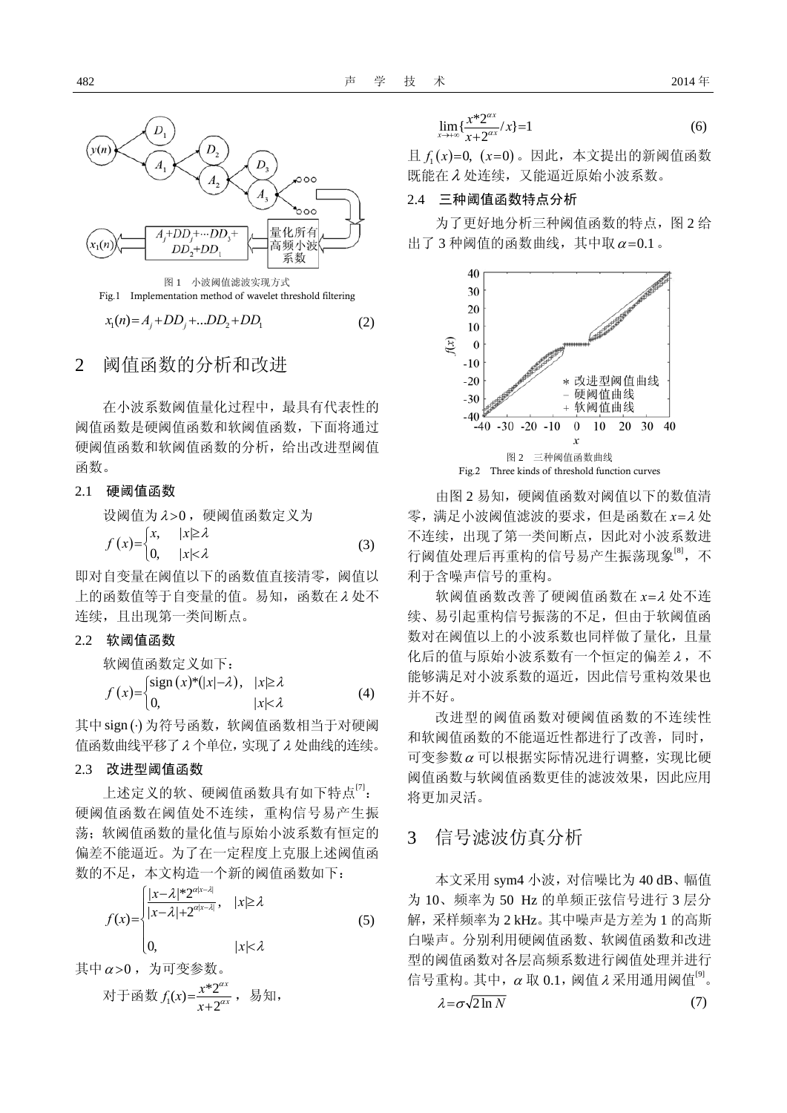

#### 2 阈值函数的分析和改进

在小波系数阈值量化过程中,最具有代表性的 阈值函数是硬阈值函数和软阈值函数,下面将通过 硬阈值函数和软阈值函数的分析,给出改进型阈值 函数。

#### 2.1 硬阈值函数

ְ
$$
\mathcal{B}(\mathbb{R}) = \begin{cases} \n\text{X} & \text{if } |x| \geq \lambda \\ \n\text{X} & \text{if } |x| < \lambda \\ \n\text{X} & \text{if } |x| < \lambda \n\end{cases}
$$
\n(3)

即对自变量在阈值以下的函数值直接清零,阈值以 上的函数值等于自变量的值。易知,函数在λ 处不 连续,且出现第一类间断点。

#### 2.2 软阈值函数

m#  
\n
$$
\hat{f}(x) = \begin{cases}\n\text{sign}(x) * (|x| - \lambda), & |x| \geq \lambda \\
0, & |x| < \lambda\n\end{cases}
$$
\n(4)

其中sign (·) 为符号函数, 软阈值函数相当于对硬阈 值函数曲线平移了λ 个单位,实现了λ 处曲线的连续。

#### 2.3 改进型阈值函数

上述定义的软、硬阈值函数具有如下特点<sup>[7]</sup>: 硬阈值函数在阈值处不连续,重构信号易产生振 荡:软阈值函数的量化值与原始小波系数有恒定的 偏差不能逼近。为了在一定程度上克服上述阈值函 数的不足,本文构造一个新的阈值函数如下:

$$
f(x) = \begin{cases} \frac{|x-\lambda|^* 2^{\alpha|x-\lambda|}}{|x-\lambda|+2^{\alpha|x-\lambda|}}, & |x| \ge \lambda \\ 0, & |x| < \lambda \end{cases}
$$
 (5)

其中  $\alpha$  > 0, 为可变参数。

对于^\{g}\t \n
$$
f_1(x) = \frac{x^* 2^{\alpha x}}{x + 2^{\alpha x}}
$$
, 勦知,

$$
\lim_{x \to +\infty} \{ \frac{x^* 2^{\alpha x}}{x + 2^{\alpha x}} / x \} = 1 \tag{6}
$$

 $\exists L f_1(x)=0, (x=0)$ 。因此, 本文提出的新阈值函数 既能在λ 处连续,又能逼近原始小波系数。

#### 2.4 三种阈值函数特点分析

为了更好地分析三种阈值函数的特点,图 2 给 出了 3 种阈值的函数曲线, 其中取  $\alpha$  = 0.1。



由图 2 易知, 硬阈值函数对阈值以下的数值清 零,满足小波阈值滤波的要求,但是函数在 *x*=<sup>λ</sup> 处 不连续,出现了第一类间断点,因此对小波系数进 行阈值处理后再重构的信号易产生振荡现象<sup>[8]</sup>,不 利于含噪声信号的重构。

软阈值函数改善了硬阈值函数在 *x*=<sup>λ</sup> 处不连 续、易引起重构信号振荡的不足,但由于软阈值函 数对在阈值以上的小波系数也同样做了量化,且量 化后的值与原始小波系数有一个恒定的偏差 λ, 不 能够满足对小波系数的逼近,因此信号重构效果也 并不好。

改进型的阈值函数对硬阈值函数的不连续性 和软阈值函数的不能逼近性都进行了改善,同时, 可变参数<sup>α</sup> 可以根据实际情况进行调整,实现比硬 阈值函数与软阈值函数更佳的滤波效果,因此应用 将更加灵活。

### 3 信号滤波仿真分析

本文采用 sym4 小波,对信噪比为 40 dB、幅值 为 10、频率为 50 Hz 的单频正弦信号进行 3 层分 解,采样频率为 2 kHz。其中噪声是方差为 1 的高斯 白噪声。分别利用硬阈值函数、软阈值函数和改进 型的阈值函数对各层高频系数进行阈值处理并进行 信号重构。其中,  $\alpha$  取 0.1, 阈值  $\lambda$  采用通用阈值 $^{[9]}$ 。

$$
\lambda = \sigma \sqrt{2 \ln N} \tag{7}
$$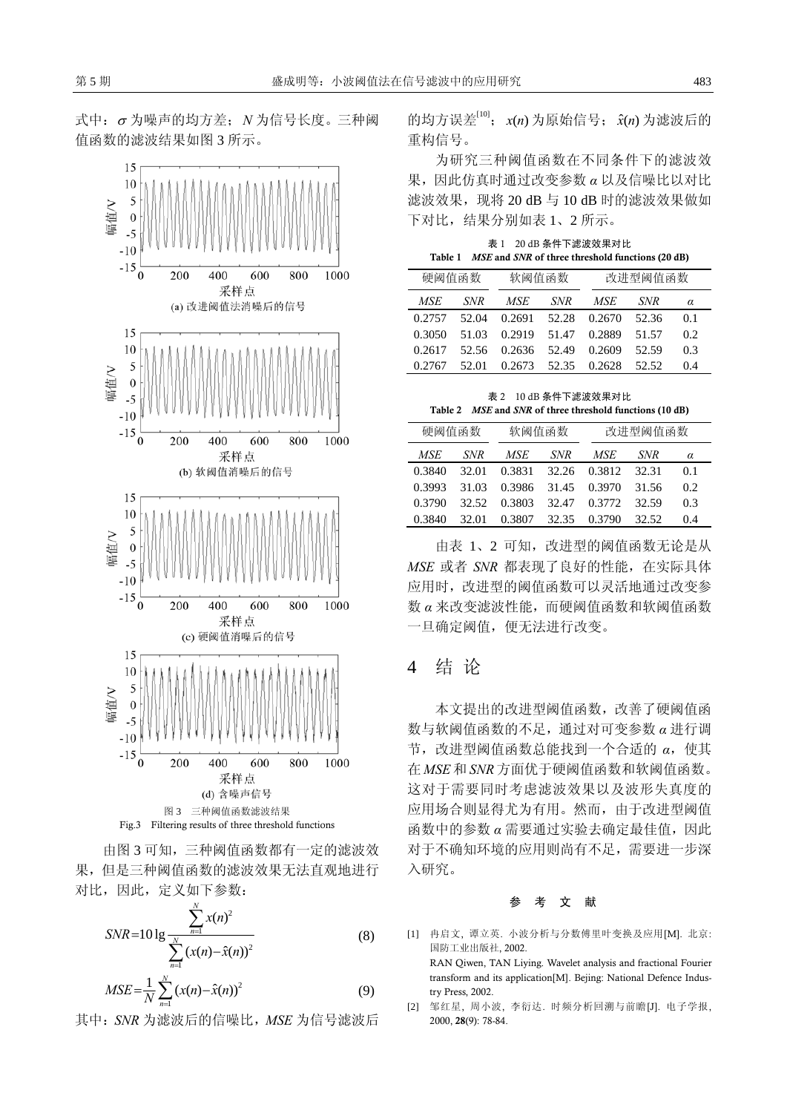式中:<sup>σ</sup> 为噪声的均方差;*N* 为信号长度。三种阈 值函数的滤波结果如图 3 所示。



由图 3 可知,三种阈值函数都有一定的滤波效 果,但是三种阈值函数的滤波效果无法直观地进行 对比,因此,定义如下参数:

$$
SNR = 10 \lg \frac{\sum_{n=1}^{N} x(n)^2}{\sum_{n=1}^{N} (x(n) - \hat{x}(n))^2}
$$
(8)  

$$
MSE = \frac{1}{N} \sum_{n=1}^{N} (x(n) - \hat{x}(n))^2
$$
(9)

其中:*SNR* 为滤波后的信噪比,*MSE* 为信号滤波后

的均方误差[10]; x(n)为原始信号; x(n)为滤波后的 重构信号。

为研究三种阈值函数在不同条件下的滤波效 果,因此仿真时通过改变参数 *α* 以及信噪比以对比 滤波效果, 现将 20 dB 与 10 dB 时的滤波效果做如 下对比,结果分别如表 1、2 所示。

表 1 20 dB 条件下滤波效果对比 Table 1 *MSE* and *SNR* of three threshold functions (20 dB)

| 硬阈值函数  |       | 软阈值函数  |            | 改讲型阈值函数 |            |     |
|--------|-------|--------|------------|---------|------------|-----|
| MSE    | SNR.  | MSE    | <b>SNR</b> | MSE.    | <b>SNR</b> | α   |
| 0.2757 | 52.04 | 0.2691 | 52.28      | 0.2670  | 52.36      | 0.1 |
| 0.3050 | 51.03 | 0.2919 | 51.47      | 0.2889  | 51.57      | 0.2 |
| 0.2617 | 52.56 | 0.2636 | 52.49      | 0.2609  | 52.59      | 0.3 |
| 0.2767 | 52.01 | 0.2673 | 52.35      | 0.2628  | 52.52      | 04  |

表 2 10 dB 条件下滤波效果对比 Table 2 *MSE* and *SNR* of three threshold functions (10 dB)

| 硬阈值函数  |            | 软阈值函数      |            | 改讲型阈值函数 |            |     |
|--------|------------|------------|------------|---------|------------|-----|
| MSE    | <b>SNR</b> | <i>MSE</i> | <b>SNR</b> | MSE     | <b>SNR</b> | α   |
| 0.3840 | 32.01      | 0.3831     | 32.26      | 0.3812  | 32.31      | 0.1 |
| 0.3993 | 31.03      | 0.3986     | 31.45      | 0.3970  | 31.56      | 0.2 |
| 0.3790 | 32.52      | 0.3803     | 32.47      | 0.3772  | 32.59      | 0.3 |
| 0.3840 | 32.01      | 0.3807     | 32.35      | 0.3790  | 32.52      | 0.4 |

由表 1、2 可知,改进型的阈值函数无论是从 *MSE* 或者 *SNR* 都表现了良好的性能,在实际具体 应用时,改进型的阈值函数可以灵活地通过改变参 数 *α* 来改变滤波性能,而硬阈值函数和软阈值函数 一旦确定阈值,便无法进行改变。

## 4 结 论

本文提出的改进型阈值函数,改善了硬阈值函 数与软阈值函数的不足,通过对可变参数 *α* 进行调 节,改进型阈值函数总能找到一个合适的 α, 使其 在 *MSE* 和 *SNR* 方面优于硬阈值函数和软阈值函数。 这对于需要同时考虑滤波效果以及波形失真度的 应用场合则显得尤为有用。然而,由于改进型阈值 函数中的参数 *α* 需要通过实验去确定最佳值,因此 对于不确知环境的应用则尚有不足,需要进一步深 入研究。

#### 参考文献

- [1] 冉启文, 谭立英. 小波分析与分数傅里叶变换及应用[M]. 北京: 国防工业出版社, 2002. RAN Qiwen, TAN Liying. Wavelet analysis and fractional Fourier transform and its application[M]. Bejing: National Defence Industry Press, 2002.
- [2] 邹红星, 周小波, 李衍达. 时频分析回溯与前瞻[J]. 电子学报, 2000, 28(9): 78-84.